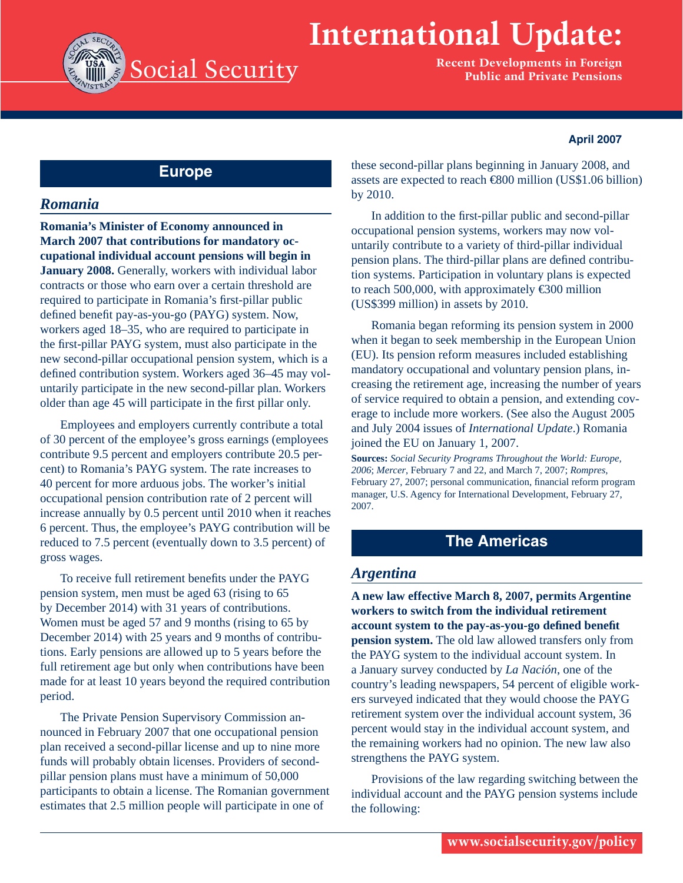# **International Update:**



**Recent Developments in Foreign Public and Private Pensions**

#### **April 2007**

## **Europe**

## *Romania*

**Romania's Minister of Economy announced in March 2007 that contributions for mandatory occupational individual account pensions will begin in January 2008.** Generally, workers with individual labor contracts or those who earn over a certain threshold are required to participate in Romania's first-pillar public defined benefit pay-as-you-go (PAYG) system. Now, workers aged 18–35, who are required to participate in the first-pillar PAYG system, must also participate in the new second-pillar occupational pension system, which is a defined contribution system. Workers aged 36-45 may voluntarily participate in the new second-pillar plan. Workers older than age 45 will participate in the first pillar only.

Employees and employers currently contribute a total of 30 percent of the employee's gross earnings (employees contribute 9.5 percent and employers contribute 20.5 percent) to Romania's PAYG system. The rate increases to 40 percent for more arduous jobs. The worker's initial occupational pension contribution rate of 2 percent will increase annually by 0.5 percent until 2010 when it reaches 6 percent. Thus, the employee's PAYG contribution will be reduced to 7.5 percent (eventually down to 3.5 percent) of gross wages.

To receive full retirement benefits under the PAYG pension system, men must be aged 63 (rising to 65 by December 2014) with 31 years of contributions. Women must be aged 57 and 9 months (rising to 65 by December 2014) with 25 years and 9 months of contributions. Early pensions are allowed up to 5 years before the full retirement age but only when contributions have been made for at least 10 years beyond the required contribution period.

The Private Pension Supervisory Commission announced in February 2007 that one occupational pension plan received a second-pillar license and up to nine more funds will probably obtain licenses. Providers of secondpillar pension plans must have a minimum of 50,000 participants to obtain a license. The Romanian government estimates that 2.5 million people will participate in one of

these second-pillar plans beginning in January 2008, and assets are expected to reach €800 million (US\$1.06 billion) by 2010.

In addition to the first-pillar public and second-pillar occupational pension systems, workers may now voluntarily contribute to a variety of third-pillar individual pension plans. The third-pillar plans are defined contribution systems. Participation in voluntary plans is expected to reach 500,000, with approximately  $\epsilon$ 300 million (US\$399 million) in assets by 2010.

Romania began reforming its pension system in 2000 when it began to seek membership in the European Union (EU). Its pension reform measures included establishing mandatory occupational and voluntary pension plans, increasing the retirement age, increasing the number of years of service required to obtain a pension, and extending coverage to include more workers. (See also the August 2005 and July 2004 issues of *International Update*.) Romania joined the EU on January 1, 2007.

**Sources:** *Social Security Programs Throughout the World: Europe, 2006*; *Mercer*, February 7 and 22, and March 7, 2007; *Rompres*, February 27, 2007; personal communication, financial reform program manager, U.S. Agency for International Development, February 27, 2007.

# **The Americas**

## *Argentina*

**A new law effective March 8, 2007, permits Argentine workers to switch from the individual retirement account system to the pay-as-you-go defi ned benefi t pension system.** The old law allowed transfers only from the PAYG system to the individual account system. In a January survey conducted by *La Nación*, one of the country's leading newspapers, 54 percent of eligible workers surveyed indicated that they would choose the PAYG retirement system over the individual account system, 36 percent would stay in the individual account system, and the remaining workers had no opinion. The new law also strengthens the PAYG system.

Provisions of the law regarding switching between the individual account and the PAYG pension systems include the following: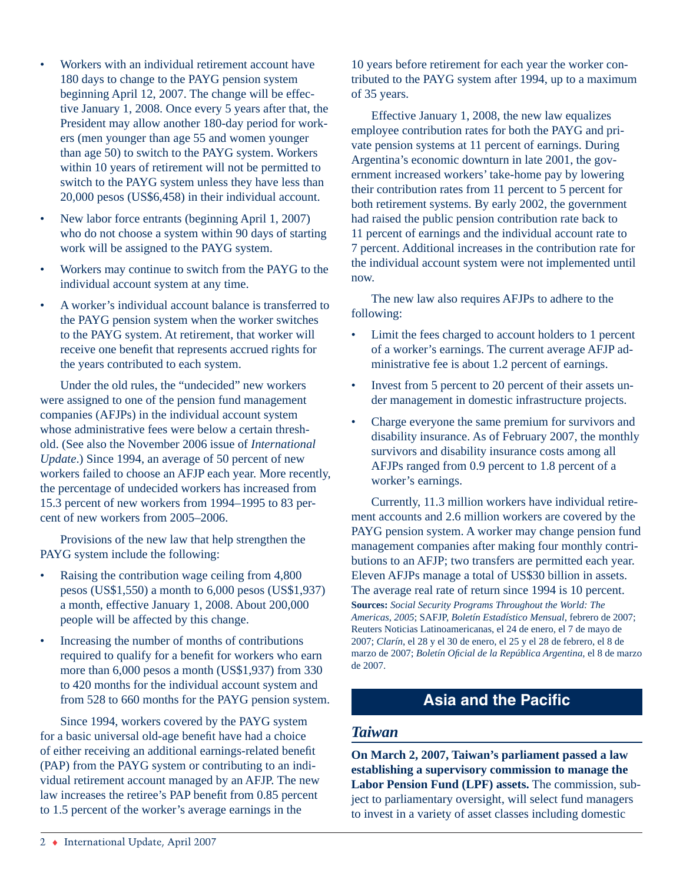- Workers with an individual retirement account have 180 days to change to the PAYG pension system beginning April 12, 2007. The change will be effective January 1, 2008. Once every 5 years after that, the President may allow another 180-day period for workers (men younger than age 55 and women younger than age 50) to switch to the PAYG system. Workers within 10 years of retirement will not be permitted to switch to the PAYG system unless they have less than 20,000 pesos (US\$6,458) in their individual account. •
- New labor force entrants (beginning April 1, 2007) who do not choose a system within 90 days of starting work will be assigned to the PAYG system. •
- Workers may continue to switch from the PAYG to the individual account system at any time. •
- A worker's individual account balance is transferred to the PAYG pension system when the worker switches to the PAYG system. At retirement, that worker will receive one benefit that represents accrued rights for the years contributed to each system. •

Under the old rules, the "undecided" new workers were assigned to one of the pension fund management companies (AFJPs) in the individual account system whose administrative fees were below a certain threshold. (See also the November 2006 issue of *International Update*.) Since 1994, an average of 50 percent of new workers failed to choose an AFJP each year. More recently, the percentage of undecided workers has increased from 15.3 percent of new workers from 1994–1995 to 83 percent of new workers from 2005–2006.

Provisions of the new law that help strengthen the PAYG system include the following:

- Raising the contribution wage ceiling from 4,800 pesos (US\$1,550) a month to 6,000 pesos (US\$1,937) a month, effective January 1, 2008. About 200,000 people will be affected by this change. •
- Increasing the number of months of contributions required to qualify for a benefit for workers who earn more than 6,000 pesos a month (US\$1,937) from 330 to 420 months for the individual account system and from 528 to 660 months for the PAYG pension system. •

Since 1994, workers covered by the PAYG system for a basic universal old-age benefit have had a choice of either receiving an additional earnings-related benefit (PAP) from the PAYG system or contributing to an individual retirement account managed by an AFJP. The new law increases the retiree's PAP benefit from 0.85 percent to 1.5 percent of the worker's average earnings in the

10 years before retirement for each year the worker contributed to the PAYG system after 1994, up to a maximum of 35 years.

Effective January 1, 2008, the new law equalizes employee contribution rates for both the PAYG and private pension systems at 11 percent of earnings. During Argentina's economic downturn in late 2001, the government increased workers' take-home pay by lowering their contribution rates from 11 percent to 5 percent for both retirement systems. By early 2002, the government had raised the public pension contribution rate back to 11 percent of earnings and the individual account rate to 7 percent. Additional increases in the contribution rate for the individual account system were not implemented until now.

The new law also requires AFJPs to adhere to the following:

- Limit the fees charged to account holders to 1 percent of a worker's earnings. The current average AFJP administrative fee is about 1.2 percent of earnings. •
- Invest from 5 percent to 20 percent of their assets under management in domestic infrastructure projects. •
- Charge everyone the same premium for survivors and disability insurance. As of February 2007, the monthly survivors and disability insurance costs among all AFJPs ranged from 0.9 percent to 1.8 percent of a worker's earnings. •

Currently, 11.3 million workers have individual retirement accounts and 2.6 million workers are covered by the PAYG pension system. A worker may change pension fund management companies after making four monthly contributions to an AFJP; two transfers are permitted each year. Eleven AFJPs manage a total of US\$30 billion in assets. The average real rate of return since 1994 is 10 percent.

**Sources:** *Social Security Programs Throughout the World: The Americas, 2005*; SAFJP, *Boletín Estadístico Mensual*, febrero de 2007; Reuters Noticias Latinoamericanas, el 24 de enero, el 7 de mayo de 2007; *Clarín*, el 28 y el 30 de enero, el 25 y el 28 de febrero, el 8 de marzo de 2007; *Boletín Oficial de la República Argentina*, el 8 de marzo de 2007.

# **Asia and the Pacific**

### *Taiwan*

**On March 2, 2007, Taiwan's parliament passed a law establishing a supervisory commission to manage the Labor Pension Fund (LPF) assets.** The commission, subject to parliamentary oversight, will select fund managers to invest in a variety of asset classes including domestic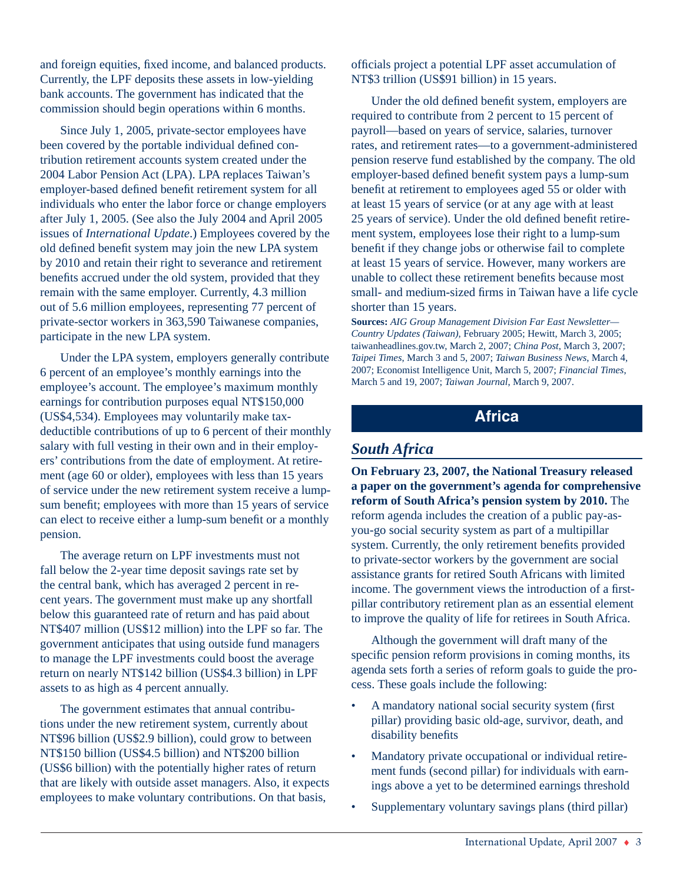and foreign equities, fixed income, and balanced products. Currently, the LPF deposits these assets in low-yielding bank accounts. The government has indicated that the commission should begin operations within 6 months.

Since July 1, 2005, private-sector employees have been covered by the portable individual defined contribution retirement accounts system created under the 2004 Labor Pension Act (LPA). LPA replaces Taiwan's employer-based defined benefit retirement system for all individuals who enter the labor force or change employers after July 1, 2005. (See also the July 2004 and April 2005 issues of *International Update*.) Employees covered by the old defined benefit system may join the new LPA system by 2010 and retain their right to severance and retirement benefits accrued under the old system, provided that they remain with the same employer. Currently, 4.3 million out of 5.6 million employees, representing 77 percent of private-sector workers in 363,590 Taiwanese companies, participate in the new LPA system.

Under the LPA system, employers generally contribute 6 percent of an employee's monthly earnings into the employee's account. The employee's maximum monthly earnings for contribution purposes equal NT\$150,000 (US\$4,534). Employees may voluntarily make tax deductible contributions of up to 6 percent of their monthly salary with full vesting in their own and in their employers' contributions from the date of employment. At retirement (age 60 or older), employees with less than 15 years of service under the new retirement system receive a lumpsum benefit; employees with more than 15 years of service can elect to receive either a lump-sum benefit or a monthly pension.

The average return on LPF investments must not fall below the 2-year time deposit savings rate set by the central bank, which has averaged 2 percent in recent years. The government must make up any shortfall below this guaranteed rate of return and has paid about NT\$407 million (US\$12 million) into the LPF so far. The government anticipates that using outside fund managers to manage the LPF investments could boost the average return on nearly NT\$142 billion (US\$4.3 billion) in LPF assets to as high as 4 percent annually.

The government estimates that annual contributions under the new retirement system, currently about NT\$96 billion (US\$2.9 billion), could grow to between NT\$150 billion (US\$4.5 billion) and NT\$200 billion (US\$6 billion) with the potentially higher rates of return that are likely with outside asset managers. Also, it expects employees to make voluntary contributions. On that basis,

officials project a potential LPF asset accumulation of NT\$3 trillion (US\$91 billion) in 15 years.

Under the old defined benefit system, employers are required to contribute from 2 percent to 15 percent of payroll—based on years of service, salaries, turnover rates, and retirement rates—to a government-administered pension reserve fund established by the company. The old employer-based defined benefit system pays a lump-sum benefit at retirement to employees aged 55 or older with at least 15 years of service (or at any age with at least 25 years of service). Under the old defined benefit retirement system, employees lose their right to a lump-sum benefit if they change jobs or otherwise fail to complete at least 15 years of service. However, many workers are unable to collect these retirement benefits because most small- and medium-sized firms in Taiwan have a life cycle shorter than 15 years.

**Sources:** *AIG Group Management Division Far East Newsletter— Country Updates (Taiwan)*, February 2005; Hewitt, March 3, 2005; taiwanheadlines.gov.tw, March 2, 2007; *China Post*, March 3, 2007; *Taipei Times*, March 3 and 5, 2007; *Taiwan Business News*, March 4, 2007; Economist Intelligence Unit, March 5, 2007; *Financial Times*, March 5 and 19, 2007; *Taiwan Journal*, March 9, 2007.

## **Africa**

## *South Africa*

**On February 23, 2007, the National Treasury released a paper on the government's agenda for comprehensive reform of South Africa's pension system by 2010.** The reform agenda includes the creation of a public pay-asyou-go social security system as part of a multipillar system. Currently, the only retirement benefits provided to private-sector workers by the government are social assistance grants for retired South Africans with limited income. The government views the introduction of a firstpillar contributory retirement plan as an essential element to improve the quality of life for retirees in South Africa.

Although the government will draft many of the specific pension reform provisions in coming months, its agenda sets forth a series of reform goals to guide the process. These goals include the following:

- A mandatory national social security system (first) pillar) providing basic old-age, survivor, death, and disability benefits •
- Mandatory private occupational or individual retirement funds (second pillar) for individuals with earnings above a yet to be determined earnings threshold •
- Supplementary voluntary savings plans (third pillar) •